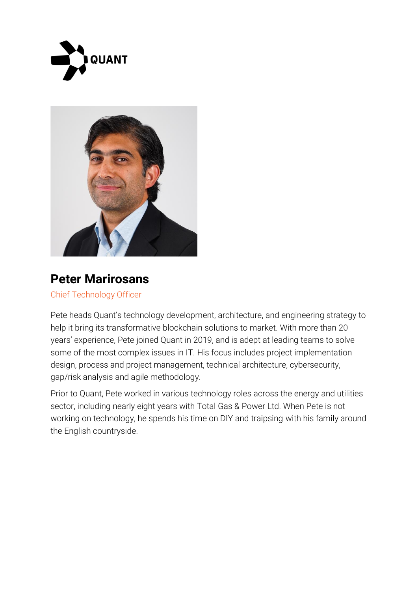



## **Peter Marirosans**

Chief Technology Officer

Pete heads Quant's technology development, architecture, and engineering strategy to help it bring its transformative blockchain solutions to market. With more than 20 years' experience, Pete joined Quant in 2019, and is adept at leading teams to solve some of the most complex issues in IT. His focus includes project implementation design, process and project management, technical architecture, cybersecurity, gap/risk analysis and agile methodology.

Prior to Quant, Pete worked in various technology roles across the energy and utilities sector, including nearly eight years with Total Gas & Power Ltd. When Pete is not working on technology, he spends his time on DIY and traipsing with his family around the English countryside.